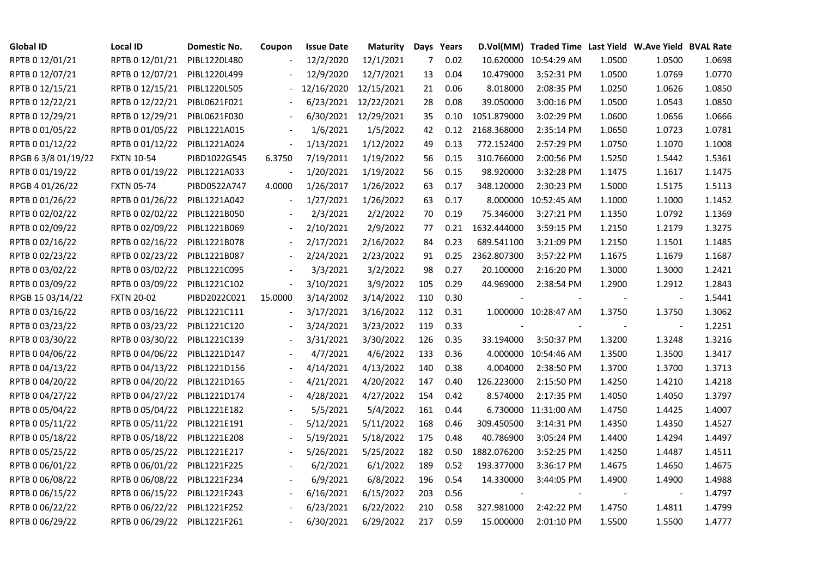| <b>Global ID</b>   | Local ID                     | Domestic No. | Coupon                   | <b>Issue Date</b> | <b>Maturity</b> |     | Days Years |             | D.Vol(MM) Traded Time Last Yield W.Ave Yield BVAL Rate |                |                          |        |
|--------------------|------------------------------|--------------|--------------------------|-------------------|-----------------|-----|------------|-------------|--------------------------------------------------------|----------------|--------------------------|--------|
| RPTB 0 12/01/21    | RPTB 0 12/01/21              | PIBL1220L480 |                          | 12/2/2020         | 12/1/2021       | 7   | 0.02       |             | 10.620000 10:54:29 AM                                  | 1.0500         | 1.0500                   | 1.0698 |
| RPTB 0 12/07/21    | RPTB 0 12/07/21              | PIBL1220L499 |                          | 12/9/2020         | 12/7/2021       | 13  | 0.04       | 10.479000   | 3:52:31 PM                                             | 1.0500         | 1.0769                   | 1.0770 |
| RPTB 0 12/15/21    | RPTB 0 12/15/21              | PIBL1220L505 |                          | 12/16/2020        | 12/15/2021      | 21  | 0.06       | 8.018000    | 2:08:35 PM                                             | 1.0250         | 1.0626                   | 1.0850 |
| RPTB 0 12/22/21    | RPTB 0 12/22/21              | PIBL0621F021 |                          | 6/23/2021         | 12/22/2021      | 28  | 0.08       | 39.050000   | 3:00:16 PM                                             | 1.0500         | 1.0543                   | 1.0850 |
| RPTB 0 12/29/21    | RPTB 0 12/29/21              | PIBL0621F030 |                          | 6/30/2021         | 12/29/2021      | 35  | 0.10       | 1051.879000 | 3:02:29 PM                                             | 1.0600         | 1.0656                   | 1.0666 |
| RPTB 0 01/05/22    | RPTB 0 01/05/22              | PIBL1221A015 |                          | 1/6/2021          | 1/5/2022        | 42  | 0.12       | 2168.368000 | 2:35:14 PM                                             | 1.0650         | 1.0723                   | 1.0781 |
| RPTB 0 01/12/22    | RPTB 0 01/12/22              | PIBL1221A024 | $\overline{\phantom{a}}$ | 1/13/2021         | 1/12/2022       | 49  | 0.13       | 772.152400  | 2:57:29 PM                                             | 1.0750         | 1.1070                   | 1.1008 |
| RPGB 63/8 01/19/22 | <b>FXTN 10-54</b>            | PIBD1022G545 | 6.3750                   | 7/19/2011         | 1/19/2022       | 56  | 0.15       | 310.766000  | 2:00:56 PM                                             | 1.5250         | 1.5442                   | 1.5361 |
| RPTB 0 01/19/22    | RPTB 0 01/19/22              | PIBL1221A033 |                          | 1/20/2021         | 1/19/2022       | 56  | 0.15       | 98.920000   | 3:32:28 PM                                             | 1.1475         | 1.1617                   | 1.1475 |
| RPGB 4 01/26/22    | <b>FXTN 05-74</b>            | PIBD0522A747 | 4.0000                   | 1/26/2017         | 1/26/2022       | 63  | 0.17       | 348.120000  | 2:30:23 PM                                             | 1.5000         | 1.5175                   | 1.5113 |
| RPTB 0 01/26/22    | RPTB 0 01/26/22              | PIBL1221A042 | $\frac{1}{2}$            | 1/27/2021         | 1/26/2022       | 63  | 0.17       | 8.000000    | 10:52:45 AM                                            | 1.1000         | 1.1000                   | 1.1452 |
| RPTB 0 02/02/22    | RPTB 0 02/02/22              | PIBL1221B050 |                          | 2/3/2021          | 2/2/2022        | 70  | 0.19       | 75.346000   | 3:27:21 PM                                             | 1.1350         | 1.0792                   | 1.1369 |
| RPTB 0 02/09/22    | RPTB 0 02/09/22              | PIBL1221B069 |                          | 2/10/2021         | 2/9/2022        | 77  | 0.21       | 1632.444000 | 3:59:15 PM                                             | 1.2150         | 1.2179                   | 1.3275 |
| RPTB 0 02/16/22    | RPTB 0 02/16/22              | PIBL1221B078 |                          | 2/17/2021         | 2/16/2022       | 84  | 0.23       | 689.541100  | 3:21:09 PM                                             | 1.2150         | 1.1501                   | 1.1485 |
| RPTB 0 02/23/22    | RPTB 0 02/23/22              | PIBL1221B087 |                          | 2/24/2021         | 2/23/2022       | 91  | 0.25       | 2362.807300 | 3:57:22 PM                                             | 1.1675         | 1.1679                   | 1.1687 |
| RPTB 0 03/02/22    | RPTB 0 03/02/22              | PIBL1221C095 |                          | 3/3/2021          | 3/2/2022        | 98  | 0.27       | 20.100000   | 2:16:20 PM                                             | 1.3000         | 1.3000                   | 1.2421 |
| RPTB 0 03/09/22    | RPTB 0 03/09/22              | PIBL1221C102 | $\overline{\phantom{a}}$ | 3/10/2021         | 3/9/2022        | 105 | 0.29       | 44.969000   | 2:38:54 PM                                             | 1.2900         | 1.2912                   | 1.2843 |
| RPGB 15 03/14/22   | <b>FXTN 20-02</b>            | PIBD2022C021 | 15.0000                  | 3/14/2002         | 3/14/2022       | 110 | 0.30       |             |                                                        |                |                          | 1.5441 |
| RPTB 0 03/16/22    | RPTB 0 03/16/22              | PIBL1221C111 |                          | 3/17/2021         | 3/16/2022       | 112 | 0.31       |             | 1.000000 10:28:47 AM                                   | 1.3750         | 1.3750                   | 1.3062 |
| RPTB 0 03/23/22    | RPTB 0 03/23/22              | PIBL1221C120 |                          | 3/24/2021         | 3/23/2022       | 119 | 0.33       |             |                                                        | $\blacksquare$ | $\overline{\phantom{a}}$ | 1.2251 |
| RPTB 0 03/30/22    | RPTB 0 03/30/22              | PIBL1221C139 |                          | 3/31/2021         | 3/30/2022       | 126 | 0.35       | 33.194000   | 3:50:37 PM                                             | 1.3200         | 1.3248                   | 1.3216 |
| RPTB 0 04/06/22    | RPTB 0 04/06/22              | PIBL1221D147 |                          | 4/7/2021          | 4/6/2022        | 133 | 0.36       | 4.000000    | 10:54:46 AM                                            | 1.3500         | 1.3500                   | 1.3417 |
| RPTB 0 04/13/22    | RPTB 0 04/13/22              | PIBL1221D156 |                          | 4/14/2021         | 4/13/2022       | 140 | 0.38       | 4.004000    | 2:38:50 PM                                             | 1.3700         | 1.3700                   | 1.3713 |
| RPTB 0 04/20/22    | RPTB 0 04/20/22              | PIBL1221D165 |                          | 4/21/2021         | 4/20/2022       | 147 | 0.40       | 126.223000  | 2:15:50 PM                                             | 1.4250         | 1.4210                   | 1.4218 |
| RPTB 0 04/27/22    | RPTB 0 04/27/22              | PIBL1221D174 |                          | 4/28/2021         | 4/27/2022       | 154 | 0.42       | 8.574000    | 2:17:35 PM                                             | 1.4050         | 1.4050                   | 1.3797 |
| RPTB 0 05/04/22    | RPTB 0 05/04/22              | PIBL1221E182 |                          | 5/5/2021          | 5/4/2022        | 161 | 0.44       | 6.730000    | 11:31:00 AM                                            | 1.4750         | 1.4425                   | 1.4007 |
| RPTB 0 05/11/22    | RPTB 0 05/11/22              | PIBL1221E191 |                          | 5/12/2021         | 5/11/2022       | 168 | 0.46       | 309.450500  | 3:14:31 PM                                             | 1.4350         | 1.4350                   | 1.4527 |
| RPTB 0 05/18/22    | RPTB 0 05/18/22              | PIBL1221E208 |                          | 5/19/2021         | 5/18/2022       | 175 | 0.48       | 40.786900   | 3:05:24 PM                                             | 1.4400         | 1.4294                   | 1.4497 |
| RPTB 0 05/25/22    | RPTB 0 05/25/22              | PIBL1221E217 |                          | 5/26/2021         | 5/25/2022       | 182 | 0.50       | 1882.076200 | 3:52:25 PM                                             | 1.4250         | 1.4487                   | 1.4511 |
| RPTB 0 06/01/22    | RPTB 0 06/01/22              | PIBL1221F225 |                          | 6/2/2021          | 6/1/2022        | 189 | 0.52       | 193.377000  | 3:36:17 PM                                             | 1.4675         | 1.4650                   | 1.4675 |
| RPTB 0 06/08/22    | RPTB 0 06/08/22              | PIBL1221F234 |                          | 6/9/2021          | 6/8/2022        | 196 | 0.54       | 14.330000   | 3:44:05 PM                                             | 1.4900         | 1.4900                   | 1.4988 |
| RPTB 0 06/15/22    | RPTB 0 06/15/22              | PIBL1221F243 |                          | 6/16/2021         | 6/15/2022       | 203 | 0.56       |             |                                                        |                |                          | 1.4797 |
| RPTB 0 06/22/22    | RPTB 0 06/22/22              | PIBL1221F252 |                          | 6/23/2021         | 6/22/2022       | 210 | 0.58       | 327.981000  | 2:42:22 PM                                             | 1.4750         | 1.4811                   | 1.4799 |
| RPTB 0 06/29/22    | RPTB 0 06/29/22 PIBL1221F261 |              |                          | 6/30/2021         | 6/29/2022       | 217 | 0.59       | 15.000000   | 2:01:10 PM                                             | 1.5500         | 1.5500                   | 1.4777 |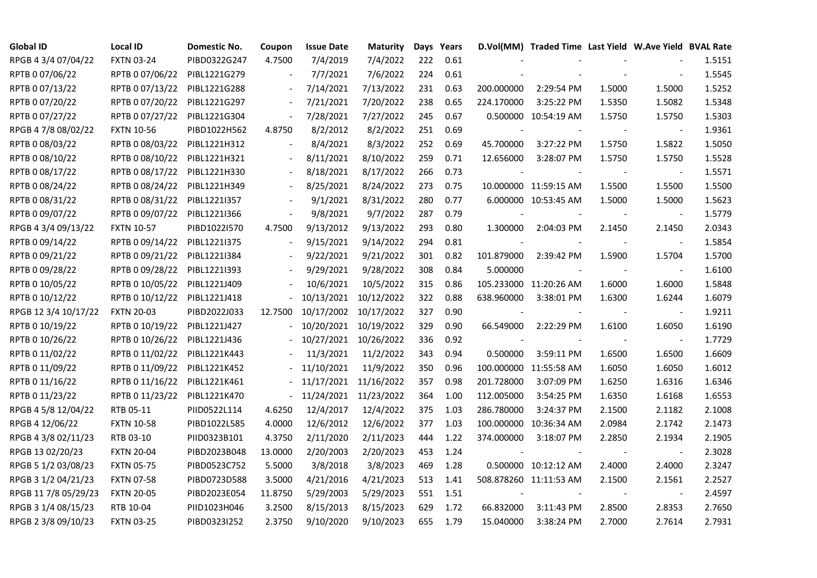| <b>Global ID</b>     | <b>Local ID</b>   | Domestic No. | Coupon                   | <b>Issue Date</b> | Maturity              |     | Days Years |                          | D.Vol(MM) Traded Time Last Yield W.Ave Yield BVAL Rate |        |                          |        |
|----------------------|-------------------|--------------|--------------------------|-------------------|-----------------------|-----|------------|--------------------------|--------------------------------------------------------|--------|--------------------------|--------|
| RPGB 4 3/4 07/04/22  | <b>FXTN 03-24</b> | PIBD0322G247 | 4.7500                   | 7/4/2019          | 7/4/2022              | 222 | 0.61       |                          |                                                        |        |                          | 1.5151 |
| RPTB 0 07/06/22      | RPTB 0 07/06/22   | PIBL1221G279 |                          | 7/7/2021          | 7/6/2022              | 224 | 0.61       |                          |                                                        |        |                          | 1.5545 |
| RPTB 0 07/13/22      | RPTB 0 07/13/22   | PIBL1221G288 | $\blacksquare$           | 7/14/2021         | 7/13/2022             | 231 | 0.63       | 200.000000               | 2:29:54 PM                                             | 1.5000 | 1.5000                   | 1.5252 |
| RPTB 0 07/20/22      | RPTB 0 07/20/22   | PIBL1221G297 | $\blacksquare$           | 7/21/2021         | 7/20/2022             | 238 | 0.65       | 224.170000               | 3:25:22 PM                                             | 1.5350 | 1.5082                   | 1.5348 |
| RPTB 0 07/27/22      | RPTB 0 07/27/22   | PIBL1221G304 | $\blacksquare$           | 7/28/2021         | 7/27/2022             | 245 | 0.67       |                          | 0.500000 10:54:19 AM                                   | 1.5750 | 1.5750                   | 1.5303 |
| RPGB 4 7/8 08/02/22  | <b>FXTN 10-56</b> | PIBD1022H562 | 4.8750                   | 8/2/2012          | 8/2/2022              | 251 | 0.69       |                          |                                                        |        |                          | 1.9361 |
| RPTB 0 08/03/22      | RPTB 0 08/03/22   | PIBL1221H312 | $\blacksquare$           | 8/4/2021          | 8/3/2022              | 252 | 0.69       | 45.700000                | 3:27:22 PM                                             | 1.5750 | 1.5822                   | 1.5050 |
| RPTB 0 08/10/22      | RPTB 0 08/10/22   | PIBL1221H321 | $\overline{\phantom{a}}$ | 8/11/2021         | 8/10/2022             | 259 | 0.71       | 12.656000                | 3:28:07 PM                                             | 1.5750 | 1.5750                   | 1.5528 |
| RPTB 0 08/17/22      | RPTB 0 08/17/22   | PIBL1221H330 |                          | 8/18/2021         | 8/17/2022             | 266 | 0.73       |                          |                                                        |        |                          | 1.5571 |
| RPTB 0 08/24/22      | RPTB 0 08/24/22   | PIBL1221H349 | $\blacksquare$           | 8/25/2021         | 8/24/2022             | 273 | 0.75       |                          | 10.000000 11:59:15 AM                                  | 1.5500 | 1.5500                   | 1.5500 |
| RPTB 0 08/31/22      | RPTB 0 08/31/22   | PIBL1221I357 | $\overline{\phantom{a}}$ | 9/1/2021          | 8/31/2022             | 280 | 0.77       |                          | 6.000000 10:53:45 AM                                   | 1.5000 | 1.5000                   | 1.5623 |
| RPTB 0 09/07/22      | RPTB 0 09/07/22   | PIBL1221I366 | $\overline{\phantom{a}}$ | 9/8/2021          | 9/7/2022              | 287 | 0.79       |                          |                                                        |        | $\overline{\phantom{a}}$ | 1.5779 |
| RPGB 4 3/4 09/13/22  | <b>FXTN 10-57</b> | PIBD1022I570 | 4.7500                   | 9/13/2012         | 9/13/2022             | 293 | 0.80       | 1.300000                 | 2:04:03 PM                                             | 2.1450 | 2.1450                   | 2.0343 |
| RPTB 0 09/14/22      | RPTB 0 09/14/22   | PIBL1221I375 | $\overline{\phantom{a}}$ | 9/15/2021         | 9/14/2022             | 294 | 0.81       |                          |                                                        |        | $\overline{\phantom{a}}$ | 1.5854 |
| RPTB 0 09/21/22      | RPTB 0 09/21/22   | PIBL1221I384 |                          | 9/22/2021         | 9/21/2022             | 301 | 0.82       | 101.879000               | 2:39:42 PM                                             | 1.5900 | 1.5704                   | 1.5700 |
| RPTB 0 09/28/22      | RPTB 0 09/28/22   | PIBL1221I393 |                          | 9/29/2021         | 9/28/2022             | 308 | 0.84       | 5.000000                 |                                                        |        |                          | 1.6100 |
| RPTB 0 10/05/22      | RPTB 0 10/05/22   | PIBL1221J409 |                          | 10/6/2021         | 10/5/2022             | 315 | 0.86       |                          | 105.233000 11:20:26 AM                                 | 1.6000 | 1.6000                   | 1.5848 |
| RPTB 0 10/12/22      | RPTB 0 10/12/22   | PIBL1221J418 |                          | 10/13/2021        | 10/12/2022            | 322 | 0.88       | 638.960000               | 3:38:01 PM                                             | 1.6300 | 1.6244                   | 1.6079 |
| RPGB 12 3/4 10/17/22 | <b>FXTN 20-03</b> | PIBD2022J033 | 12.7500                  | 10/17/2002        | 10/17/2022            | 327 | 0.90       | $\overline{\phantom{a}}$ |                                                        |        |                          | 1.9211 |
| RPTB 0 10/19/22      | RPTB 0 10/19/22   | PIBL1221J427 |                          | 10/20/2021        | 10/19/2022            | 329 | 0.90       | 66.549000                | 2:22:29 PM                                             | 1.6100 | 1.6050                   | 1.6190 |
| RPTB 0 10/26/22      | RPTB 0 10/26/22   | PIBL1221J436 |                          |                   | 10/27/2021 10/26/2022 | 336 | 0.92       | $\blacksquare$           |                                                        |        | $\overline{\phantom{a}}$ | 1.7729 |
| RPTB 0 11/02/22      | RPTB 0 11/02/22   | PIBL1221K443 |                          | 11/3/2021         | 11/2/2022             | 343 | 0.94       | 0.500000                 | 3:59:11 PM                                             | 1.6500 | 1.6500                   | 1.6609 |
| RPTB 0 11/09/22      | RPTB 0 11/09/22   | PIBL1221K452 |                          | 11/10/2021        | 11/9/2022             | 350 | 0.96       |                          | 100.000000 11:55:58 AM                                 | 1.6050 | 1.6050                   | 1.6012 |
| RPTB 0 11/16/22      | RPTB 0 11/16/22   | PIBL1221K461 |                          | 11/17/2021        | 11/16/2022            | 357 | 0.98       | 201.728000               | 3:07:09 PM                                             | 1.6250 | 1.6316                   | 1.6346 |
| RPTB 0 11/23/22      | RPTB 0 11/23/22   | PIBL1221K470 | $\blacksquare$           | 11/24/2021        | 11/23/2022            | 364 | 1.00       | 112.005000               | 3:54:25 PM                                             | 1.6350 | 1.6168                   | 1.6553 |
| RPGB 4 5/8 12/04/22  | RTB 05-11         | PIID0522L114 | 4.6250                   | 12/4/2017         | 12/4/2022             | 375 | 1.03       | 286.780000               | 3:24:37 PM                                             | 2.1500 | 2.1182                   | 2.1008 |
| RPGB 4 12/06/22      | <b>FXTN 10-58</b> | PIBD1022L585 | 4.0000                   | 12/6/2012         | 12/6/2022             | 377 | 1.03       |                          | 100.000000 10:36:34 AM                                 | 2.0984 | 2.1742                   | 2.1473 |
| RPGB 4 3/8 02/11/23  | RTB 03-10         | PIID0323B101 | 4.3750                   | 2/11/2020         | 2/11/2023             | 444 | 1.22       | 374.000000               | 3:18:07 PM                                             | 2.2850 | 2.1934                   | 2.1905 |
| RPGB 13 02/20/23     | <b>FXTN 20-04</b> | PIBD2023B048 | 13.0000                  | 2/20/2003         | 2/20/2023             | 453 | 1.24       |                          |                                                        |        | $\overline{\phantom{a}}$ | 2.3028 |
| RPGB 5 1/2 03/08/23  | <b>FXTN 05-75</b> | PIBD0523C752 | 5.5000                   | 3/8/2018          | 3/8/2023              | 469 | 1.28       |                          | 0.500000 10:12:12 AM                                   | 2.4000 | 2.4000                   | 2.3247 |
| RPGB 3 1/2 04/21/23  | <b>FXTN 07-58</b> | PIBD0723D588 | 3.5000                   | 4/21/2016         | 4/21/2023             | 513 | 1.41       |                          | 508.878260 11:11:53 AM                                 | 2.1500 | 2.1561                   | 2.2527 |
| RPGB 11 7/8 05/29/23 | <b>FXTN 20-05</b> | PIBD2023E054 | 11.8750                  | 5/29/2003         | 5/29/2023             | 551 | 1.51       |                          |                                                        |        |                          | 2.4597 |
| RPGB 3 1/4 08/15/23  | RTB 10-04         | PIID1023H046 | 3.2500                   | 8/15/2013         | 8/15/2023             | 629 | 1.72       | 66.832000                | 3:11:43 PM                                             | 2.8500 | 2.8353                   | 2.7650 |
| RPGB 2 3/8 09/10/23  | <b>FXTN 03-25</b> | PIBD0323I252 | 2.3750                   | 9/10/2020         | 9/10/2023             | 655 | 1.79       | 15.040000                | 3:38:24 PM                                             | 2.7000 | 2.7614                   | 2.7931 |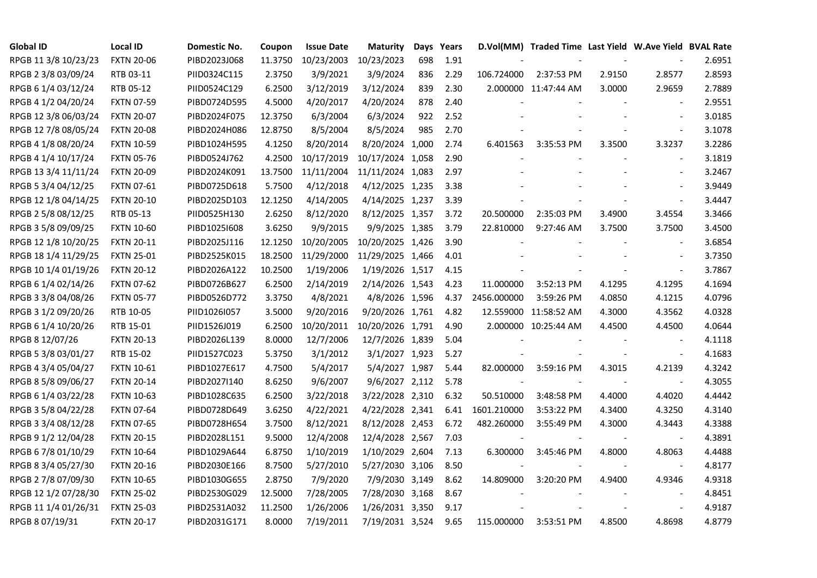| <b>Global ID</b>     | <b>Local ID</b>   | Domestic No. | Coupon  | <b>Issue Date</b> | <b>Maturity</b>  |     | Days Years |             | D.Vol(MM) Traded Time Last Yield W.Ave Yield BVAL Rate |        |                          |        |
|----------------------|-------------------|--------------|---------|-------------------|------------------|-----|------------|-------------|--------------------------------------------------------|--------|--------------------------|--------|
| RPGB 11 3/8 10/23/23 | <b>FXTN 20-06</b> | PIBD2023J068 | 11.3750 | 10/23/2003        | 10/23/2023       | 698 | 1.91       |             |                                                        |        |                          | 2.6951 |
| RPGB 2 3/8 03/09/24  | RTB 03-11         | PIID0324C115 | 2.3750  | 3/9/2021          | 3/9/2024         | 836 | 2.29       | 106.724000  | 2:37:53 PM                                             | 2.9150 | 2.8577                   | 2.8593 |
| RPGB 6 1/4 03/12/24  | RTB 05-12         | PIID0524C129 | 6.2500  | 3/12/2019         | 3/12/2024        | 839 | 2.30       |             | 2.000000 11:47:44 AM                                   | 3.0000 | 2.9659                   | 2.7889 |
| RPGB 4 1/2 04/20/24  | <b>FXTN 07-59</b> | PIBD0724D595 | 4.5000  | 4/20/2017         | 4/20/2024        | 878 | 2.40       |             |                                                        |        | $\overline{\phantom{a}}$ | 2.9551 |
| RPGB 12 3/8 06/03/24 | <b>FXTN 20-07</b> | PIBD2024F075 | 12.3750 | 6/3/2004          | 6/3/2024         | 922 | 2.52       |             |                                                        |        | $\overline{\phantom{a}}$ | 3.0185 |
| RPGB 12 7/8 08/05/24 | <b>FXTN 20-08</b> | PIBD2024H086 | 12.8750 | 8/5/2004          | 8/5/2024         | 985 | 2.70       |             |                                                        |        | $\blacksquare$           | 3.1078 |
| RPGB 4 1/8 08/20/24  | <b>FXTN 10-59</b> | PIBD1024H595 | 4.1250  | 8/20/2014         | 8/20/2024 1,000  |     | 2.74       | 6.401563    | 3:35:53 PM                                             | 3.3500 | 3.3237                   | 3.2286 |
| RPGB 4 1/4 10/17/24  | <b>FXTN 05-76</b> | PIBD0524J762 | 4.2500  | 10/17/2019        | 10/17/2024 1,058 |     | 2.90       |             |                                                        |        | $\blacksquare$           | 3.1819 |
| RPGB 13 3/4 11/11/24 | <b>FXTN 20-09</b> | PIBD2024K091 | 13.7500 | 11/11/2004        | 11/11/2024 1,083 |     | 2.97       |             |                                                        |        |                          | 3.2467 |
| RPGB 5 3/4 04/12/25  | <b>FXTN 07-61</b> | PIBD0725D618 | 5.7500  | 4/12/2018         | 4/12/2025 1,235  |     | 3.38       |             |                                                        |        | $\blacksquare$           | 3.9449 |
| RPGB 12 1/8 04/14/25 | <b>FXTN 20-10</b> | PIBD2025D103 | 12.1250 | 4/14/2005         | 4/14/2025 1,237  |     | 3.39       |             |                                                        |        | $\blacksquare$           | 3.4447 |
| RPGB 2 5/8 08/12/25  | RTB 05-13         | PIID0525H130 | 2.6250  | 8/12/2020         | 8/12/2025 1,357  |     | 3.72       | 20.500000   | 2:35:03 PM                                             | 3.4900 | 3.4554                   | 3.3466 |
| RPGB 3 5/8 09/09/25  | <b>FXTN 10-60</b> | PIBD10251608 | 3.6250  | 9/9/2015          | 9/9/2025 1,385   |     | 3.79       | 22.810000   | 9:27:46 AM                                             | 3.7500 | 3.7500                   | 3.4500 |
| RPGB 12 1/8 10/20/25 | <b>FXTN 20-11</b> | PIBD2025J116 | 12.1250 | 10/20/2005        | 10/20/2025 1,426 |     | 3.90       |             |                                                        |        | $\blacksquare$           | 3.6854 |
| RPGB 18 1/4 11/29/25 | <b>FXTN 25-01</b> | PIBD2525K015 | 18.2500 | 11/29/2000        | 11/29/2025 1,466 |     | 4.01       |             |                                                        |        | $\sim$                   | 3.7350 |
| RPGB 10 1/4 01/19/26 | <b>FXTN 20-12</b> | PIBD2026A122 | 10.2500 | 1/19/2006         | 1/19/2026 1,517  |     | 4.15       |             |                                                        |        | $\overline{a}$           | 3.7867 |
| RPGB 6 1/4 02/14/26  | <b>FXTN 07-62</b> | PIBD0726B627 | 6.2500  | 2/14/2019         | 2/14/2026 1,543  |     | 4.23       | 11.000000   | 3:52:13 PM                                             | 4.1295 | 4.1295                   | 4.1694 |
| RPGB 3 3/8 04/08/26  | <b>FXTN 05-77</b> | PIBD0526D772 | 3.3750  | 4/8/2021          | 4/8/2026 1,596   |     | 4.37       | 2456.000000 | 3:59:26 PM                                             | 4.0850 | 4.1215                   | 4.0796 |
| RPGB 3 1/2 09/20/26  | RTB 10-05         | PIID1026I057 | 3.5000  | 9/20/2016         | 9/20/2026 1,761  |     | 4.82       |             | 12.559000 11:58:52 AM                                  | 4.3000 | 4.3562                   | 4.0328 |
| RPGB 6 1/4 10/20/26  | RTB 15-01         | PIID1526J019 | 6.2500  | 10/20/2011        | 10/20/2026 1,791 |     | 4.90       |             | 2.000000 10:25:44 AM                                   | 4.4500 | 4.4500                   | 4.0644 |
| RPGB 8 12/07/26      | <b>FXTN 20-13</b> | PIBD2026L139 | 8.0000  | 12/7/2006         | 12/7/2026 1,839  |     | 5.04       |             |                                                        |        | $\blacksquare$           | 4.1118 |
| RPGB 5 3/8 03/01/27  | RTB 15-02         | PIID1527C023 | 5.3750  | 3/1/2012          | 3/1/2027 1,923   |     | 5.27       |             |                                                        |        | $\sim$                   | 4.1683 |
| RPGB 4 3/4 05/04/27  | <b>FXTN 10-61</b> | PIBD1027E617 | 4.7500  | 5/4/2017          | 5/4/2027 1,987   |     | 5.44       | 82.000000   | 3:59:16 PM                                             | 4.3015 | 4.2139                   | 4.3242 |
| RPGB 8 5/8 09/06/27  | <b>FXTN 20-14</b> | PIBD2027I140 | 8.6250  | 9/6/2007          | 9/6/2027 2,112   |     | 5.78       |             |                                                        |        | $\overline{\phantom{a}}$ | 4.3055 |
| RPGB 6 1/4 03/22/28  | <b>FXTN 10-63</b> | PIBD1028C635 | 6.2500  | 3/22/2018         | 3/22/2028 2,310  |     | 6.32       | 50.510000   | 3:48:58 PM                                             | 4.4000 | 4.4020                   | 4.4442 |
| RPGB 3 5/8 04/22/28  | <b>FXTN 07-64</b> | PIBD0728D649 | 3.6250  | 4/22/2021         | 4/22/2028 2,341  |     | 6.41       | 1601.210000 | 3:53:22 PM                                             | 4.3400 | 4.3250                   | 4.3140 |
| RPGB 3 3/4 08/12/28  | <b>FXTN 07-65</b> | PIBD0728H654 | 3.7500  | 8/12/2021         | 8/12/2028 2,453  |     | 6.72       | 482.260000  | 3:55:49 PM                                             | 4.3000 | 4.3443                   | 4.3388 |
| RPGB 9 1/2 12/04/28  | <b>FXTN 20-15</b> | PIBD2028L151 | 9.5000  | 12/4/2008         | 12/4/2028 2,567  |     | 7.03       |             |                                                        |        | $\blacksquare$           | 4.3891 |
| RPGB 6 7/8 01/10/29  | <b>FXTN 10-64</b> | PIBD1029A644 | 6.8750  | 1/10/2019         | 1/10/2029 2,604  |     | 7.13       | 6.300000    | 3:45:46 PM                                             | 4.8000 | 4.8063                   | 4.4488 |
| RPGB 8 3/4 05/27/30  | <b>FXTN 20-16</b> | PIBD2030E166 | 8.7500  | 5/27/2010         | 5/27/2030 3,106  |     | 8.50       |             |                                                        |        |                          | 4.8177 |
| RPGB 2 7/8 07/09/30  | <b>FXTN 10-65</b> | PIBD1030G655 | 2.8750  | 7/9/2020          | 7/9/2030 3,149   |     | 8.62       | 14.809000   | 3:20:20 PM                                             | 4.9400 | 4.9346                   | 4.9318 |
| RPGB 12 1/2 07/28/30 | <b>FXTN 25-02</b> | PIBD2530G029 | 12.5000 | 7/28/2005         | 7/28/2030 3,168  |     | 8.67       |             |                                                        |        | $\overline{\phantom{a}}$ | 4.8451 |
| RPGB 11 1/4 01/26/31 | <b>FXTN 25-03</b> | PIBD2531A032 | 11.2500 | 1/26/2006         | 1/26/2031 3,350  |     | 9.17       |             |                                                        |        | $\overline{\phantom{a}}$ | 4.9187 |
| RPGB 8 07/19/31      | <b>FXTN 20-17</b> | PIBD2031G171 | 8.0000  | 7/19/2011         | 7/19/2031 3,524  |     | 9.65       | 115.000000  | 3:53:51 PM                                             | 4.8500 | 4.8698                   | 4.8779 |